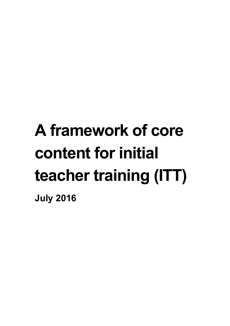# **A framework of core content for initial teacher training (ITT)**

**July 2016**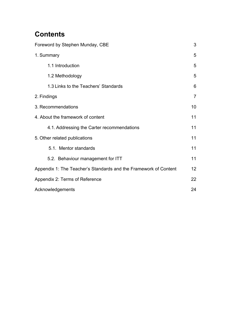# **Contents**

| Foreword by Stephen Munday, CBE                                  |                |
|------------------------------------------------------------------|----------------|
| 1. Summary                                                       | 5              |
| 1.1 Introduction                                                 | 5              |
| 1.2 Methodology                                                  | 5              |
| 1.3 Links to the Teachers' Standards                             | 6              |
| 2. Findings                                                      | $\overline{7}$ |
| 3. Recommendations                                               | 10             |
| 4. About the framework of content                                |                |
| 4.1. Addressing the Carter recommendations                       | 11             |
| 5. Other related publications                                    |                |
| 5.1. Mentor standards                                            | 11             |
| 5.2. Behaviour management for ITT                                | 11             |
| Appendix 1: The Teacher's Standards and the Framework of Content | 12             |
| Appendix 2: Terms of Reference                                   | 22             |
| Acknowledgements                                                 |                |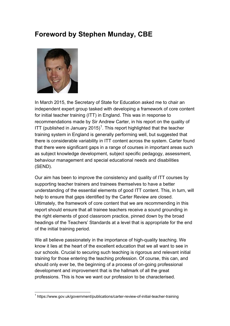# <span id="page-2-0"></span>**Foreword by Stephen Munday, CBE**



In March 2015, the Secretary of State for Education asked me to chair an independent expert group tasked with developing a framework of core content for initial teacher training (ITT) in England. This was in response to recommendations made by Sir Andrew Carter, in his report on the quality of ITT (published in January 20[1](#page-25-0)5)<sup>1</sup>. This report highlighted that the teacher training system in England is generally performing well, but suggested that there is considerable variability in ITT content across the system. Carter found that there were significant gaps in a range of courses in important areas such as subject knowledge development, subject specific pedagogy, assessment, behaviour management and special educational needs and disabilities (SEND).

Our aim has been to improve the consistency and quality of ITT courses by supporting teacher trainers and trainees themselves to have a better understanding of the essential elements of good ITT content. This, in turn, will help to ensure that gaps identified by the Carter Review are closed. Ultimately, the framework of core content that we are recommending in this report should ensure that all trainee teachers receive a sound grounding in the right elements of good classroom practice, pinned down by the broad headings of the Teachers' Standards at a level that is appropriate for the end of the initial training period.

We all believe passionately in the importance of high-quality teaching. We know it lies at the heart of the excellent education that we all want to see in our schools. Crucial to securing such teaching is rigorous and relevant initial training for those entering the teaching profession. Of course, this can, and should only ever be, the beginning of a process of on-going professional development and improvement that is the hallmark of all the great professions. This is how we want our profession to be characterised.

<span id="page-2-1"></span> $\overline{a}$ <sup>1</sup> https://www.gov.uk/government/publications/carter-review-of-initial-teacher-training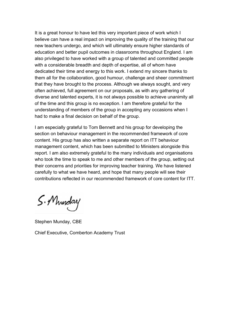It is a great honour to have led this very important piece of work which I believe can have a real impact on improving the quality of the training that our new teachers undergo, and which will ultimately ensure higher standards of education and better pupil outcomes in classrooms throughout England. I am also privileged to have worked with a group of talented and committed people with a considerable breadth and depth of expertise, all of whom have dedicated their time and energy to this work. I extend my sincere thanks to them all for the collaboration, good humour, challenge and sheer commitment that they have brought to the process. Although we always sought, and very often achieved, full agreement on our proposals, as with any gathering of diverse and talented experts, it is not always possible to achieve unanimity all of the time and this group is no exception. I am therefore grateful for the understanding of members of the group in accepting any occasions when I had to make a final decision on behalf of the group.

I am especially grateful to Tom Bennett and his group for developing the section on behaviour management in the recommended framework of core content. His group has also written a separate report on ITT behaviour management content, which has been submitted to Ministers alongside this report. I am also extremely grateful to the many individuals and organisations who took the time to speak to me and other members of the group, setting out their concerns and priorities for improving teacher training. We have listened carefully to what we have heard, and hope that many people will see their contributions reflected in our recommended framework of core content for ITT.

S. Munday

Stephen Munday, CBE

Chief Executive, Comberton Academy Trust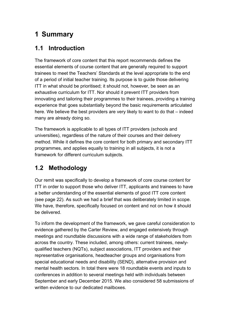# <span id="page-4-0"></span>**1 Summary**

### <span id="page-4-1"></span>**1.1 Introduction**

The framework of core content that this report recommends defines the essential elements of course content that are generally required to support trainees to meet the Teachers' Standards at the level appropriate to the end of a period of initial teacher training. Its purpose is to guide those delivering ITT in what should be prioritised; it should not, however, be seen as an exhaustive curriculum for ITT. Nor should it prevent ITT providers from innovating and tailoring their programmes to their trainees, providing a training experience that goes substantially beyond the basic requirements articulated here. We believe the best providers are very likely to want to do that – indeed many are already doing so.

The framework is applicable to all types of ITT providers (schools and universities), regardless of the nature of their courses and their delivery method. While it defines the core content for both primary and secondary ITT programmes, and applies equally to training in all subjects, it is not a framework for different curriculum subjects.

## <span id="page-4-2"></span>**1.2 Methodology**

Our remit was specifically to develop a framework of core course content for ITT in order to support those who deliver ITT, applicants and trainees to have a better understanding of the essential elements of good ITT core content (see page 22). As such we had a brief that was deliberately limited in scope. We have, therefore, specifically focused on content and not on how it should be delivered.

To inform the development of the framework, we gave careful consideration to evidence gathered by the Carter Review, and engaged extensively through meetings and roundtable discussions with a wide range of stakeholders from across the country. These included, among others: current trainees, newlyqualified teachers (NQTs), subject associations, ITT providers and their representative organisations, headteacher groups and organisations from special educational needs and disability (SEND), alternative provision and mental health sectors. In total there were 18 roundtable events and inputs to conferences in addition to several meetings held with individuals between September and early December 2015. We also considered 58 submissions of written evidence to our dedicated mailboxes.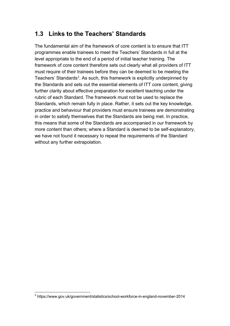## <span id="page-5-0"></span>**1.3 Links to the Teachers' Standards**

The fundamental aim of the framework of core content is to ensure that ITT programmes enable trainees to meet the Teachers' Standards in full at the level appropriate to the end of a period of initial teacher training. The framework of core content therefore sets out clearly what all providers of ITT must require of their trainees before they can be deemed to be meeting the Teachers' Standards<sup>[2](#page-2-1)</sup>. As such, this framework is explicitly underpinned by the Standards and sets out the essential elements of ITT core content, giving further clarity about effective preparation for excellent teaching under the rubric of each Standard. The framework must not be used to replace the Standards, which remain fully in place. Rather, it sets out the key knowledge, practice and behaviour that providers must ensure trainees are demonstrating in order to satisfy themselves that the Standards are being met. In practice, this means that some of the Standards are accompanied in our framework by more content than others; where a Standard is deemed to be self-explanatory, we have not found it necessary to repeat the requirements of the Standard without any further extrapolation.

<span id="page-5-1"></span> <sup>2</sup> https://www.gov.uk/government/statistics/school-workforce-in-england-november-2014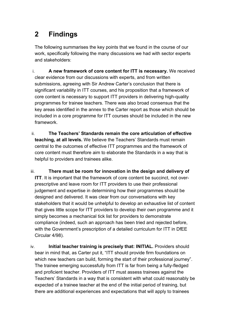# <span id="page-6-0"></span>**2 Findings**

The following summarises the key points that we found in the course of our work, specifically following the many discussions we had with sector experts and stakeholders:

- i. **A new framework of core content for ITT is necessary.** We received clear evidence from our discussions with experts, and from written submissions, agreeing with Sir Andrew Carter's conclusion that there is significant variability in ITT courses, and his proposition that a framework of core content is necessary to support ITT providers in delivering high-quality programmes for trainee teachers. There was also broad consensus that the key areas identified in the annex to the Carter report as those which should be included in a core programme for ITT courses should be included in the new framework.
- ii. **The Teachers' Standards remain the core articulation of effective teaching, at all levels.** We believe the Teachers' Standards must remain central to the outcomes of effective ITT programmes and the framework of core content must therefore aim to elaborate the Standards in a way that is helpful to providers and trainees alike.
- iii. **There must be room for innovation in the design and delivery of ITT**. It is important that the framework of core content be succinct, not overprescriptive and leave room for ITT providers to use their professional judgement and expertise in determining how their programmes should be designed and delivered. It was clear from our conversations with key stakeholders that it would be unhelpful to develop an exhaustive list of content that gives little scope for ITT providers to develop their own programme and it simply becomes a mechanical tick list for providers to demonstrate compliance (indeed, such an approach has been tried and rejected before, with the Government's prescription of a detailed curriculum for ITT in DfEE Circular 4/98).
- iv. **Initial teacher training is precisely that: INITIAL.** Providers should bear in mind that, as Carter put it, "ITT should provide firm foundations on which new teachers can build, forming the start of their professional journey". The trainee emerging successfully from ITT is far from being a fully-fledged and proficient teacher. Providers of ITT must assess trainees against the Teachers' Standards in a way that is consistent with what could reasonably be expected of a trainee teacher at the end of the initial period of training, but there are additional experiences and expectations that will apply to trainees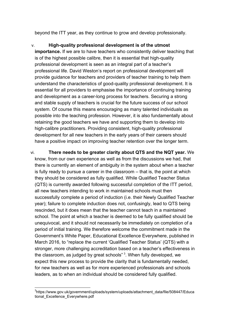beyond the ITT year, as they continue to grow and develop professionally.

v. **High-quality professional development is of the utmost importance.** If we are to have teachers who consistently deliver teaching that is of the highest possible calibre, then it is essential that high-quality professional development is seen as an integral part of a teacher's professional life. David Weston's report on professional development will provide guidance for teachers and providers of teacher training to help them understand the characteristics of good-quality professional development. It is essential for all providers to emphasise the importance of continuing training and development as a career-long process for teachers. Securing a strong and stable supply of teachers is crucial for the future success of our school system. Of course this means encouraging as many talented individuals as possible into the teaching profession. However, it is also fundamentally about retaining the good teachers we have and supporting them to develop into high-calibre practitioners. Providing consistent, high-quality professional development for all new teachers in the early years of their careers should have a positive impact on improving teacher retention over the longer term.

vi. **There needs to be greater clarity about QTS and the NQT year.** We know, from our own experience as well as from the discussions we had, that there is currently an element of ambiguity in the system about when a teacher is fully ready to pursue a career in the classroom – that is, the point at which they should be considered as fully qualified. While Qualified Teacher Status (QTS) is currently awarded following successful completion of the ITT period, all new teachers intending to work in maintained schools must then successfully complete a period of induction (i.e. their Newly Qualified Teacher year); failure to complete induction does not, confusingly, lead to QTS being rescinded, but it does mean that the teacher cannot teach in a maintained school. The point at which a teacher is deemed to be fully qualified should be unequivocal, and it should not necessarily be immediately on completion of a period of initial training. We therefore welcome the commitment made in the Government's White Paper, Educational Excellence Everywhere, published in March 2016, to "replace the current 'Qualified Teacher Status' (QTS) with a stronger, more challenging accreditation based on a teacher's effectiveness in the classroom, as judged by great schools" <sup>[3](#page-5-1)</sup>. When fully developed, we expect this new process to provide the clarity that is fundamentally needed, for new teachers as well as for more experienced professionals and schools leaders, as to when an individual should be considered fully qualified.

\_\_\_\_\_\_\_\_\_\_\_\_\_\_\_\_\_\_\_\_\_\_\_\_\_\_\_\_\_\_\_\_\_\_\_\_<br><sup>3</sup>https://www.gov.uk/government/uploads/system/uploads/attachment\_data/file/508447/Educa tional Excellence Everywhere.pdf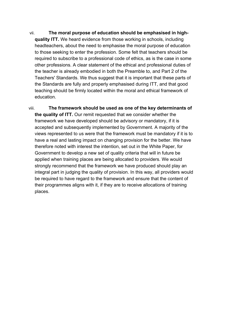vii. **The moral purpose of education should be emphasised in highquality ITT.** We heard evidence from those working in schools, including headteachers, about the need to emphasise the moral purpose of education to those seeking to enter the profession. Some felt that teachers should be required to subscribe to a professional code of ethics, as is the case in some other professions. A clear statement of the ethical and professional duties of the teacher is already embodied in both the Preamble to, and Part 2 of the Teachers' Standards. We thus suggest that it is important that these parts of the Standards are fully and properly emphasised during ITT, and that good teaching should be firmly located within the moral and ethical framework of education.

viii. **The framework should be used as one of the key determinants of the quality of ITT.** Our remit requested that we consider whether the framework we have developed should be advisory or mandatory, if it is accepted and subsequently implemented by Government. A majority of the views represented to us were that the framework must be mandatory if it is to have a real and lasting impact on changing provision for the better. We have therefore noted with interest the intention, set out in the White Paper, for Government to develop a new set of quality criteria that will in future be applied when training places are being allocated to providers. We would strongly recommend that the framework we have produced should play an integral part in judging the quality of provision. In this way, all providers would be required to have regard to the framework and ensure that the content of their programmes aligns with it, if they are to receive allocations of training places.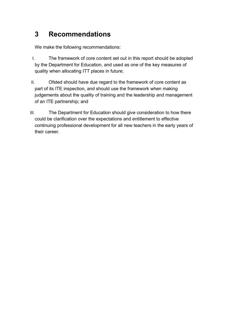# <span id="page-9-0"></span>**3 Recommendations**

We make the following recommendations:

- I. The framework of core content set out in this report should be adopted by the Department for Education, and used as one of the key measures of quality when allocating ITT places in future;
- II. Ofsted should have due regard to the framework of core content as part of its ITE inspection, and should use the framework when making judgements about the quality of training and the leadership and management of an ITE partnership; and
- III. The Department for Education should give consideration to how there could be clarification over the expectations and entitlement to effective continuing professional development for all new teachers in the early years of their career.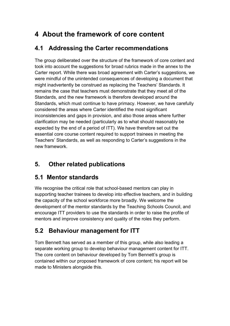# <span id="page-10-0"></span>**4 About the framework of core content**

## <span id="page-10-1"></span>**4.1 Addressing the Carter recommendations**

The group deliberated over the structure of the framework of core content and took into account the suggestions for broad rubrics made in the annex to the Carter report. While there was broad agreement with Carter's suggestions, we were mindful of the unintended consequences of developing a document that might inadvertently be construed as replacing the Teachers' Standards. It remains the case that teachers must demonstrate that they meet all of the Standards, and the new framework is therefore developed around the Standards, which must continue to have primacy. However, we have carefully considered the areas where Carter identified the most significant inconsistencies and gaps in provision, and also those areas where further clarification may be needed (particularly as to what should reasonably be expected by the end of a period of ITT). We have therefore set out the essential core course content required to support trainees in meeting the Teachers' Standards, as well as responding to Carter's suggestions in the new framework.

# <span id="page-10-2"></span>**5. Other related publications**

## <span id="page-10-3"></span>**5.1 Mentor standards**

We recognise the critical role that school-based mentors can play in supporting teacher trainees to develop into effective teachers, and in building the capacity of the school workforce more broadly. We welcome the development of the mentor standards by the Teaching Schools Council, and encourage ITT providers to use the standards in order to raise the profile of mentors and improve consistency and quality of the roles they perform.

## <span id="page-10-4"></span>**5.2 Behaviour management for ITT**

Tom Bennett has served as a member of this group, while also leading a separate working group to develop behaviour management content for ITT. The core content on behaviour developed by Tom Bennett's group is contained within our proposed framework of core content; his report will be made to Ministers alongside this.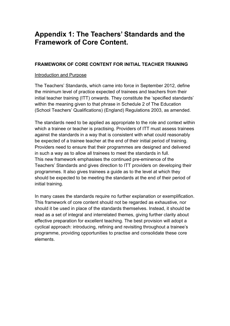## <span id="page-11-0"></span>**Appendix 1: The Teachers' Standards and the Framework of Core Content.**

#### **FRAMEWORK OF CORE CONTENT FOR INITIAL TEACHER TRAINING**

#### Introduction and Purpose

The Teachers' Standards, which came into force in September 2012, define the minimum level of practice expected of trainees and teachers from their initial teacher training (ITT) onwards. They constitute the 'specified standards' within the meaning given to that phrase in Schedule 2 of The Education (School Teachers' Qualifications) (England) Regulations 2003, as amended.

The standards need to be applied as appropriate to the role and context within which a trainee or teacher is practising. Providers of ITT must assess trainees against the standards in a way that is consistent with what could reasonably be expected of a trainee teacher at the end of their initial period of training. Providers need to ensure that their programmes are designed and delivered in such a way as to allow all trainees to meet the standards in full. This new framework emphasises the continued pre-eminence of the Teachers' Standards and gives direction to ITT providers on developing their programmes. It also gives trainees a guide as to the level at which they should be expected to be meeting the standards at the end of their period of initial training.

In many cases the standards require no further explanation or exemplification. This framework of core content should not be regarded as exhaustive, nor should it be used in place of the standards themselves. Instead, it should be read as a set of integral and interrelated themes, giving further clarity about effective preparation for excellent teaching. The best provision will adopt a cyclical approach: introducing, refining and revisiting throughout a trainee's programme, providing opportunities to practise and consolidate these core elements.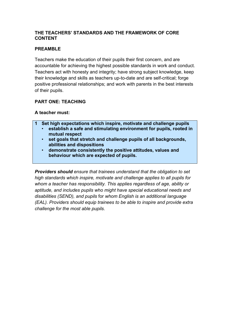#### **THE TEACHERS' STANDARDS AND THE FRAMEWORK OF CORE CONTENT**

#### **PREAMBLE**

Teachers make the education of their pupils their first concern, and are accountable for achieving the highest possible standards in work and conduct. Teachers act with honesty and integrity; have strong subject knowledge, keep their knowledge and skills as teachers up-to-date and are self-critical; forge positive professional relationships; and work with parents in the best interests of their pupils.

#### **PART ONE: TEACHING**

#### **A teacher must:**

- **1 Set high expectations which inspire, motivate and challenge pupils** • **establish a safe and stimulating environment for pupils, rooted in mutual respect**
	- **set goals that stretch and challenge pupils of all backgrounds, abilities and dispositions**
	- **demonstrate consistently the positive attitudes, values and behaviour which are expected of pupils.**

*Providers should ensure that trainees understand that the obligation to set high standards which inspire, motivate and challenge applies to all pupils for whom a teacher has responsibility. This applies regardless of age, ability or aptitude, and includes pupils who might have special educational needs and disabilities (SEND), and pupils* for *whom English is an additional language (EAL). Providers should equip trainees to be able to inspire and provide extra challenge for the most able pupils.*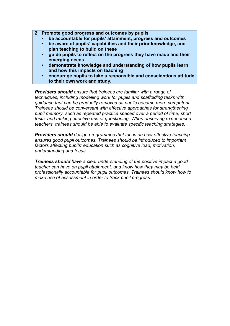- **2 Promote good progress and outcomes by pupils**
	- **be accountable for pupils' attainment, progress and outcomes**
	- **be aware of pupils' capabilities and their prior knowledge, and plan teaching to build on these**
	- **guide pupils to reflect on the progress they have made and their emerging needs**
	- **demonstrate knowledge and understanding of how pupils learn and how this impacts on teaching**
	- **encourage pupils to take a responsible and conscientious attitude to their own work and study.**

*Providers should ensure that trainees are familiar with a range of techniques, including modelling work for pupils and scaffolding tasks with guidance that can be gradually removed as pupils become more competent. Trainees should be conversant with effective approaches for strengthening pupil memory, such as repeated practice spaced over a period of time, short tests, and making effective use of questioning. When observing experienced teachers, trainees should be able to evaluate specific teaching strategies.* 

*Providers should design programmes that focus on how effective teaching ensures good pupil outcomes. Trainees should be introduced to important factors affecting pupils' education such as cognitive load, motivation, understanding and focus.*

*Trainees should have a clear understanding of the positive impact a good teacher can have on pupil attainment, and know how they may be held professionally accountable for pupil outcomes. Trainees should know how to make use of assessment in order to track pupil progress.*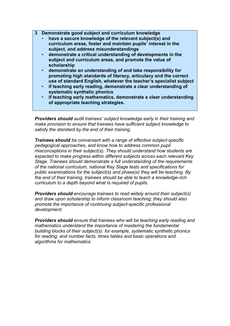- **3 Demonstrate good subject and curriculum knowledge**
	- **have a secure knowledge of the relevant subject(s) and curriculum areas, foster and maintain pupils' interest in the subject, and address misunderstandings**
	- **demonstrate a critical understanding of developments in the subject and curriculum areas, and promote the value of scholarship**
	- **demonstrate an understanding of and take responsibility for promoting high standards of literacy, articulacy and the correct use of standard English, whatever the teacher's specialist subject**
	- **if teaching early reading, demonstrate a clear understanding of systematic synthetic phonics**
	- **if teaching early mathematics, demonstrate a clear understanding of appropriate teaching strategies.**

*Providers should audit trainees' subject knowledge early in their training and make provision to ensure that trainees have sufficient subject knowledge to satisfy the standard by the end of their training.* 

*Trainees should be conversant with a range of effective subject-specific pedagogical approaches, and know how to address common pupil misconceptions in their subject(s). They should understand how students are expected to make progress within different subjects across each relevant Key Stage. Trainees should demonstrate a full understanding of the requirements of the national curriculum, national Key Stage tests and specifications for public examinations for the subject(s) and phase(s) they will be teaching. By the end of their training, trainees should be able to teach a knowledge-rich curriculum to a depth beyond what is required of pupils.*

*Providers should encourage trainees to read widely around their subject(s) and draw upon scholarship to inform classroom teaching; they should also promote the importance of continuing subject-specific professional development.*

*Providers should ensure that trainees who will be teaching early reading and mathematics understand the importance of mastering the fundamental building blocks of their subject(s): for example, systematic synthetic phonics for reading; and number facts, times tables and basic operations and algorithms for mathematics.*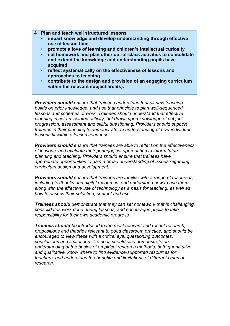- **4 Plan and teach well structured lessons**
	- **impart knowledge and develop understanding through effective use of lesson time**
	- **promote a love of learning and children's intellectual curiosity**
	- **set homework and plan other out-of-class activities to consolidate and extend the knowledge and understanding pupils have acquired**
	- **reflect systematically on the effectiveness of lessons and approaches to teaching**
	- **contribute to the design and provision of an engaging curriculum within the relevant subject area(s).**

*Providers should ensure that trainees understand that all new teaching builds on prior knowledge, and use that principle to plan well-sequenced lessons and schemes of work. Trainees should understand that effective planning is not an isolated activity, but draws upon knowledge of subject, progression, assessment and skilful questioning. Providers should support trainees in their planning to demonstrate an understanding of how individual lessons fit within a lesson sequence.*

*Providers should ensure that trainees are able to reflect on the effectiveness of lessons, and evaluate their pedagogical approaches to inform future planning and teaching. Providers should ensure that trainees have appropriate opportunities to gain a broad understanding of issues regarding curriculum design and development.*

*Providers should ensure that trainees are familiar with a range of resources, including textbooks and digital resources, and understand how to use them along with the effective use of technology as a basis for teaching, as well as how to assess their selection, content and use.* 

*Trainees should demonstrate that they can set homework that is challenging, consolidates work done during lessons, and encourages pupils to take responsibility for their own academic progress.* 

*Trainees should be introduced to the most relevant and recent research, propositions and theories relevant to good classroom practice, and should be encouraged to view these with a critical eye, questioning outcomes, conclusions and limitations. Trainees should also demonstrate an understanding of the basics of empirical research methods, both quantitative and qualitative, know where to find evidence-supported resources for teachers, and understand the benefits and limitations of different types of research.*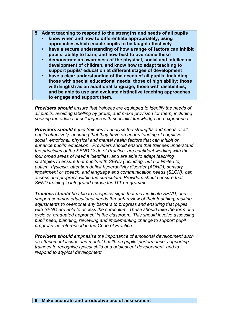- **5 Adapt teaching to respond to the strengths and needs of all pupils**
	- **know when and how to differentiate appropriately, using approaches which enable pupils to be taught effectively**
	- **have a secure understanding of how a range of factors can inhibit pupils' ability to learn, and how best to overcome these**
	- **demonstrate an awareness of the physical, social and intellectual development of children, and know how to adapt teaching to support pupils' education at different stages of development**
	- **have a clear understanding of the needs of all pupils, including those with special educational needs; those of high ability; those with English as an additional language; those with disabilities; and be able to use and evaluate distinctive teaching approaches to engage and support them.**

*Providers should ensure that trainees are equipped to identify the needs of all pupils, avoiding labelling by group, and make provision for them, including seeking the advice of colleagues with specialist knowledge and experience.* 

*Providers should equip trainees to analyse the strengths and needs of all pupils effectively, ensuring that they have an understanding of cognitive, social, emotional, physical and mental health factors that can inhibit or enhance pupils' education. Providers should ensure that trainees understand the principles of the SEND Code of Practice, are confident working with the four broad areas of need it identifies, and are able to adapt teaching strategies to ensure that pupils with SEND (including, but not limited to, autism, dyslexia, attention deficit hyperactivity disorder (ADHD), sensory impairment or speech, and language and communication needs (SLCN)) can access and progress within the curriculum. Providers should ensure that SEND training is integrated across the ITT programme.*

*Trainees should be able to recognise signs that may indicate SEND, and support common educational needs through review of their teaching, making adjustments to overcome any barriers to progress and ensuring that pupils with SEND are able to access the curriculum. These should take the form of a cycle or 'graduated approach' in the classroom. This should involve assessing pupil need, planning, reviewing and implementing change to support pupil progress, as referenced in the Code of Practice.*

*Providers should emphasise the importance of emotional development such as attachment issues and mental health on pupils' performance, supporting trainees to recognise typical child and adolescent development, and to respond to atypical development.*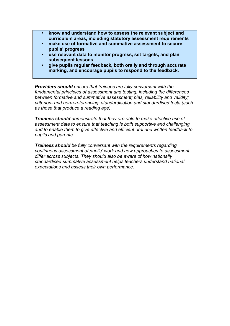- **know and understand how to assess the relevant subject and curriculum areas, including statutory assessment requirements**
- **make use of formative and summative assessment to secure pupils' progress**
- **use relevant data to monitor progress, set targets, and plan subsequent lessons**
- **give pupils regular feedback, both orally and through accurate marking, and encourage pupils to respond to the feedback.**

*Providers should ensure that trainees are fully conversant with the fundamental principles of assessment and testing, including the differences between formative and summative assessment; bias, reliability and validity; criterion- and norm-referencing; standardisation and standardised tests (such as those that produce a reading age).* 

*Trainees should demonstrate that they are able to make effective use of assessment data to ensure that teaching is both supportive and challenging, and to enable them to give effective and efficient oral and written feedback to pupils and parents.* 

*Trainees should be fully conversant with the requirements regarding continuous assessment of pupils' work and how approaches to assessment differ across subjects. They should also be aware of how nationally standardised summative assessment helps teachers understand national expectations and assess their own performance.*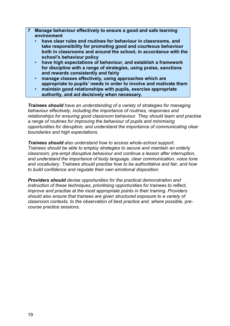- **7 Manage behaviour effectively to ensure a good and safe learning environment**
	- **have clear rules and routines for behaviour in classrooms, and take responsibility for promoting good and courteous behaviour both in classrooms and around the school, in accordance with the school's behaviour policy**
	- **have high expectations of behaviour, and establish a framework for discipline with a range of strategies, using praise, sanctions and rewards consistently and fairly**
	- **manage classes effectively, using approaches which are appropriate to pupils' needs in order to involve and motivate them**
	- **maintain good relationships with pupils, exercise appropriate authority, and act decisively when necessary.**

*Trainees should have an understanding of a variety of strategies for managing behaviour effectively, including the importance of routines, responses and relationships for ensuring good classroom behaviour. They should learn and practise a range of routines for improving the behaviour of pupils and minimising opportunities for disruption, and understand the importance of communicating clear boundaries and high expectations.* 

*Trainees should also understand how to access whole-school support. Trainees should be able to employ strategies to secure and maintain an orderly classroom, pre-empt disruptive behaviour and continue a lesson after interruption, and understand the importance of body language, clear communication, voice tone and vocabulary. Trainees should practise how to be authoritative and fair, and how to build confidence and regulate their own emotional disposition.* 

*Providers should devise opportunities for the practical demonstration and instruction of these techniques, prioritising opportunities for trainees to reflect, improve and practise at the most appropriate points in their training. Providers should also ensure that trainees are given structured exposure to a variety of classroom contexts, to the observation of best practice and, where possible, precourse practice sessions.*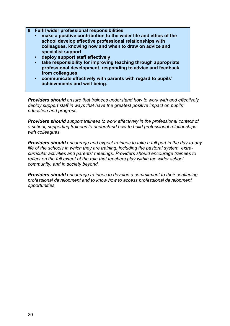- **8 Fulfil wider professional responsibilities**
	- **make a positive contribution to the wider life and ethos of the school develop effective professional relationships with colleagues, knowing how and when to draw on advice and specialist support**
	- **deploy support staff effectively**
	- **take responsibility for improving teaching through appropriate professional development, responding to advice and feedback from colleagues**
	- **communicate effectively with parents with regard to pupils' achievements and well-being.**

*Providers should ensure that trainees understand how to work with and effectively deploy support staff in ways that have the greatest positive impact on pupils' education and progress.* 

*Providers should support trainees to work effectively in the professional context of a school, supporting trainees to understand how to build professional relationships with colleagues.*

*Providers should encourage and expect trainees to take a full part in the day-to-day life of the schools in which they are training, including the pastoral system, extracurricular activities and parents' meetings. Providers should encourage trainees to reflect on the full extent of the role that teachers play within the wider school community, and in society beyond.* 

*Providers should encourage trainees to develop a commitment to their continuing professional development and to know how to access professional development opportunities.*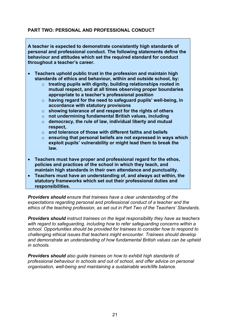#### **PART TWO: PERSONAL AND PROFESSIONAL CONDUCT**

**A teacher is expected to demonstrate consistently high standards of personal and professional conduct. The following statements define the behaviour and attitudes which set the required standard for conduct throughout a teacher's career.**

- **Teachers uphold public trust in the profession and maintain high standards of ethics and behaviour, within and outside school, by:**
	- o **treating pupils with dignity, building relationships rooted in mutual respect, and at all times observing proper boundaries appropriate to a teacher's professional position**
	- o **having regard for the need to safeguard pupils' well-being, in accordance with statutory provisions**
	- o **showing tolerance of and respect for the rights of others**
	- o **not undermining fundamental British values, including**
	- o **democracy, the rule of law, individual liberty and mutual respect,**
	- o **and tolerance of those with different faiths and beliefs**
	- o **ensuring that personal beliefs are not expressed in ways which exploit pupils' vulnerability or might lead them to break the law.**
- **Teachers must have proper and professional regard for the ethos, policies and practices of the school in which they teach, and maintain high standards in their own attendance and punctuality.**
- **Teachers must have an understanding of, and always act within, the statutory frameworks which set out their professional duties and responsibilities.**

*Providers should ensure that trainees have a clear understanding of the expectations regarding personal and professional conduct of a teacher and the ethics of the teaching profession, as set out in Part Two of the Teachers' Standards.* 

*Providers should instruct trainees on the legal responsibility they have as teachers with regard to safeguarding, including how to refer safeguarding concerns within a school. Opportunities should be provided for trainees to consider how to respond to challenging ethical issues that teachers might encounter. Trainees should develop and demonstrate an understanding of how fundamental British values can be upheld in schools.* 

*Providers should also guide trainees on how to exhibit high standards of professional behaviour in schools and out of school, and offer advice on personal organisation, well-being and maintaining a sustainable work/life balance.*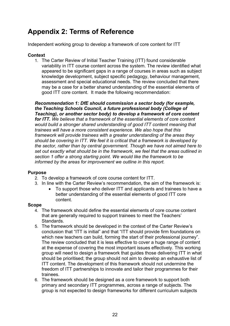# <span id="page-21-0"></span>**Appendix 2: Terms of Reference**

Independent working group to develop a framework of core content for ITT

#### **Context**

1. The Carter Review of Initial Teacher Training (ITT) found considerable variability in ITT course content across the system. The review identified what appeared to be significant gaps in a range of courses in areas such as subject knowledge development, subject specific pedagogy, behaviour management, assessment and special educational needs. The review concluded that there may be a case for a better shared understanding of the essential elements of good ITT core content. It made the following recommendation:

*Recommendation 1: DfE should commission a sector body (for example, the Teaching Schools Council, a future professional body (College of Teaching), or another sector body) to develop a framework of core content for ITT. We believe that a framework of the essential elements of core content would build a stronger shared understanding of good ITT content meaning that trainees will have a more consistent experience. We also hope that this framework will provide trainees with a greater understanding of the areas they should be covering in ITT. We feel it is critical that a framework is developed by the sector, rather than by central government. Though we have not aimed here to set out exactly what should be in the framework, we feel that the areas outlined in section 1 offer a strong starting point. We would like the framework to be informed by the areas for improvement we outline in this report.* 

#### **Purpose**

- 2. To develop a framework of core course content for ITT.
- 3. In line with the Carter Review's recommendation, the aim of the framework is:
	- To support those who deliver ITT and applicants and trainees to have a better understanding of the essential elements of good ITT core content.

#### **Scope**

- 4. The framework should define the essential elements of core course content that are generally required to support trainees to meet the Teachers' Standards.
- 5. The framework should be developed in the context of the Carter Review's conclusion that "ITT is initial" and that "ITT should provide firm foundations on which new teachers can build, forming the start of their professional journey". The review concluded that it is less effective to cover a huge range of content at the expense of covering the most important issues effectively. This working group will need to design a framework that guides those delivering ITT in what should be prioritised; the group should not aim to develop an exhaustive list of ITT content. The development of this framework should not undermine the freedom of ITT partnerships to innovate and tailor their programmes for their trainees.
- 6. The framework should be designed as a core framework to support both primary and secondary ITT programmes, across a range of subjects. The group is not expected to design frameworks for different curriculum subjects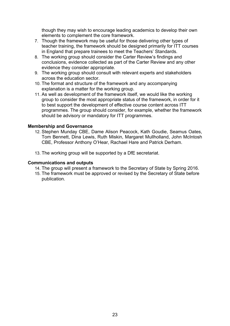though they may wish to encourage leading academics to develop their own elements to complement the core framework.

- 7. Though the framework may be useful for those delivering other types of teacher training, the framework should be designed primarily for ITT courses in England that prepare trainees to meet the Teachers' Standards.
- 8. The working group should consider the Carter Review's findings and conclusions, evidence collected as part of the Carter Review and any other evidence they consider appropriate.
- 9. The working group should consult with relevant experts and stakeholders across the education sector.
- 10. The format and structure of the framework and any accompanying explanation is a matter for the working group.
- 11. As well as development of the framework itself, we would like the working group to consider the most appropriate status of the framework, in order for it to best support the development of effective course content across ITT programmes. The group should consider, for example, whether the framework should be advisory or mandatory for ITT programmes.

#### **Membership and Governance**

- 12. Stephen Munday CBE, Dame Alison Peacock, Kath Goudie, Seamus Oates, Tom Bennett, Dina Lewis, Ruth Miskin, Margaret Mullholland, John McIntosh CBE, Professor Anthony O'Hear, Rachael Hare and Patrick Derham.
- 13. The working group will be supported by a DfE secretariat.

#### **Communications and outputs**

- 14. The group will present a framework to the Secretary of State by Spring 2016.
- 15. The framework must be approved or revised by the Secretary of State before publication.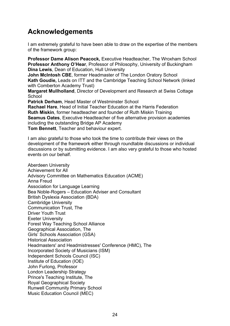## <span id="page-23-0"></span>**Acknowledgements**

I am extremely grateful to have been able to draw on the expertise of the members of the framework group:

**Professor Dame Alison Peacock,** Executive Headteacher, The Wroxham School **Professor Anthony O'Hear**, Professor of Philosophy, University of Buckingham **Dina Lewis**, Dean of Education, Hull University

**John McIntosh CBE**, former Headmaster of The London Oratory School **Kath Goudie,** Leads on ITT and the Cambridge Teaching School Network (linked with Comberton Academy Trust)

**Margaret Mullholland**, Director of Development and Research at Swiss Cottage **School** 

**Patrick Derham**, Head Master of Westminster School **Rachael Hare**, Head of Initial Teacher Education at the Harris Federation **Ruth Miskin**, former headteacher and founder of Ruth Miskin Training **Seamus Oates**, Executive Headteacher of five alternative provision academies including the outstanding Bridge AP Academy

**Tom Bennett**, Teacher and behaviour expert.

I am also grateful to those who took the time to contribute their views on the development of the framework either through roundtable discussions or individual discussions or by submitting evidence. I am also very grateful to those who hosted events on our behalf.

Aberdeen University Achievement for All Advisory Committee on Mathematics Education (ACME) Anna Freud Association for Language Learning Bea Noble-Rogers – Education Adviser and Consultant British Dyslexia Association (BDA) Cambridge University Communication Trust, The Driver Youth Trust Exeter University Forest Way Teaching School Alliance Geographical Association, The Girls' Schools Association (GSA) Historical Association Headmasters' and Headmistresses' Conference (HMC), The Incorporated Society of Musicians (ISM) Independent Schools Council (ISC) Institute of Education (IOE) John Furlong, Professor London Leadership Strategy Prince's Teaching Institute, The Royal Geographical Society Runwell Community Primary School Music Education Council (MEC)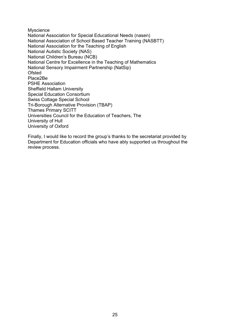Myscience National Association for Special Educational Needs (nasen) National Association of School Based Teacher Training (NASBTT) National Association for the Teaching of English National Autistic Society (NAS) National Children's Bureau (NCB) National Centre for Excellence in the Teaching of Mathematics National Sensory Impairment Partnership (NatSip) Ofsted Place2Be PSHE Association Sheffield Hallam University Special Education Consortium Swiss Cottage Special School Tri-Borough Alternative Provision (TBAP) Thames Primary SCITT Universities Council for the Education of Teachers, The University of Hull University of Oxford

Finally, I would like to record the group's thanks to the secretariat provided by Department for Education officials who have ably supported us throughout the review process.